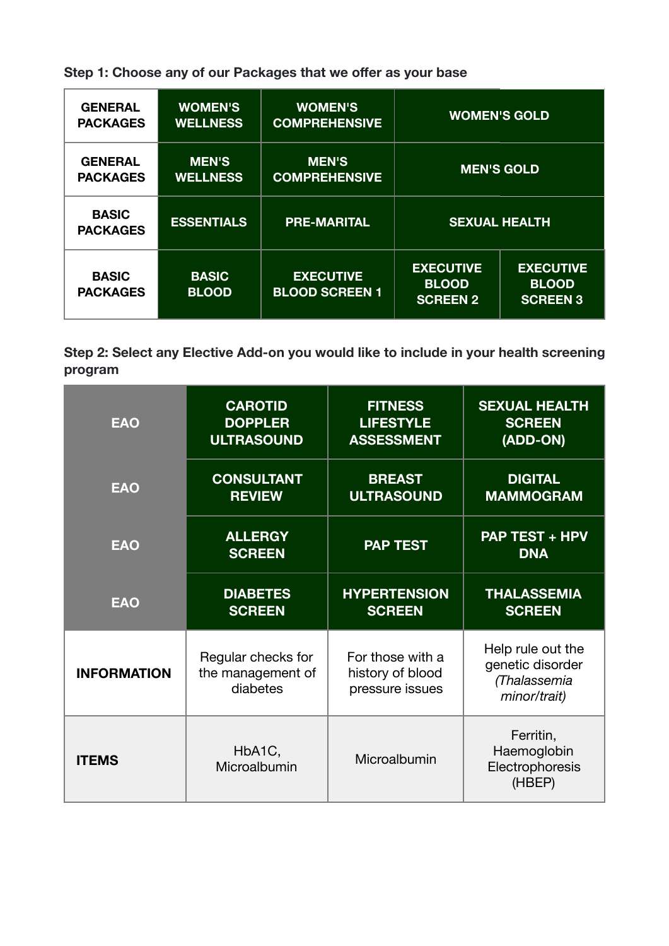**Step 1: Choose any of our Packages that we offer as your base** 

| <b>GENERAL</b>                  | <b>WOMEN'S</b>               | <b>WOMEN'S</b>                            | <b>WOMEN'S GOLD</b>                                 |                                                     |
|---------------------------------|------------------------------|-------------------------------------------|-----------------------------------------------------|-----------------------------------------------------|
| <b>PACKAGES</b>                 | <b>WELLNESS</b>              | <b>COMPREHENSIVE</b>                      |                                                     |                                                     |
| <b>GENERAL</b>                  | <b>MEN'S</b>                 | <b>MEN'S</b>                              | <b>MEN'S GOLD</b>                                   |                                                     |
| <b>PACKAGES</b>                 | <b>WELLNESS</b>              | <b>COMPREHENSIVE</b>                      |                                                     |                                                     |
| <b>BASIC</b><br><b>PACKAGES</b> | <b>ESSENTIALS</b>            | <b>PRE-MARITAL</b>                        | <b>SEXUAL HEALTH</b>                                |                                                     |
| <b>BASIC</b><br><b>PACKAGES</b> | <b>BASIC</b><br><b>BLOOD</b> | <b>EXECUTIVE</b><br><b>BLOOD SCREEN 1</b> | <b>EXECUTIVE</b><br><b>BLOOD</b><br><b>SCREEN 2</b> | <b>EXECUTIVE</b><br><b>BLOOD</b><br><b>SCREEN 3</b> |

**Step 2: Select any Elective Add-on you would like to include in your health screening program** 

| <b>EAO</b>         | <b>CAROTID</b>                  | <b>FITNESS</b>                      | <b>SEXUAL HEALTH</b>                             |
|--------------------|---------------------------------|-------------------------------------|--------------------------------------------------|
|                    | <b>DOPPLER</b>                  | <b>LIFESTYLE</b>                    | <b>SCREEN</b>                                    |
|                    | <b>ULTRASOUND</b>               | <b>ASSESSMENT</b>                   | (ADD-ON)                                         |
| <b>EAO</b>         | <b>CONSULTANT</b>               | <b>BREAST</b>                       | <b>DIGITAL</b>                                   |
|                    | <b>REVIEW</b>                   | <b>ULTRASOUND</b>                   | <b>MAMMOGRAM</b>                                 |
| <b>EAO</b>         | <b>ALLERGY</b><br><b>SCREEN</b> | <b>PAP TEST</b>                     | <b>PAP TEST + HPV</b><br><b>DNA</b>              |
| <b>EAO</b>         | <b>DIABETES</b>                 | <b>HYPERTENSION</b>                 | <b>THALASSEMIA</b>                               |
|                    | <b>SCREEN</b>                   | <b>SCREEN</b>                       | <b>SCREEN</b>                                    |
| <b>INFORMATION</b> | Regular checks for              | For those with a                    | Help rule out the                                |
|                    | the management of<br>diabetes   | history of blood<br>pressure issues | genetic disorder<br>(Thalassemia<br>minor/trait) |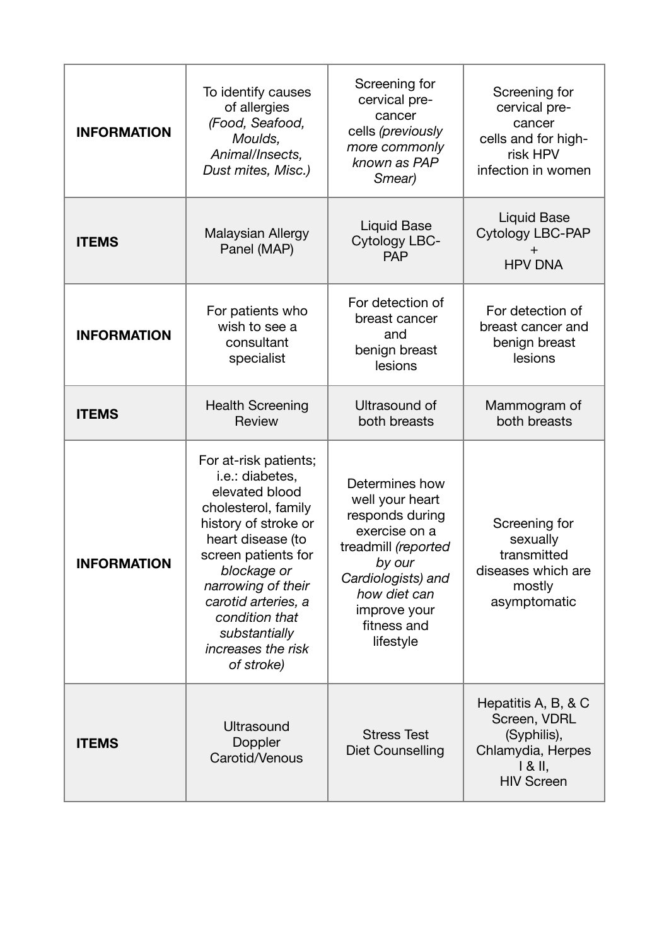| <b>INFORMATION</b> | To identify causes<br>of allergies<br>(Food, Seafood,<br>Moulds,<br>Animal/Insects,<br>Dust mites, Misc.)                                                                                                                                                                                | Screening for<br>cervical pre-<br>cancer<br>cells (previously<br>more commonly<br>known as PAP<br>Smear)                                                                                 | Screening for<br>cervical pre-<br>cancer<br>cells and for high-<br>risk HPV<br>infection in women           |
|--------------------|------------------------------------------------------------------------------------------------------------------------------------------------------------------------------------------------------------------------------------------------------------------------------------------|------------------------------------------------------------------------------------------------------------------------------------------------------------------------------------------|-------------------------------------------------------------------------------------------------------------|
| <b>ITEMS</b>       | <b>Malaysian Allergy</b><br>Panel (MAP)                                                                                                                                                                                                                                                  | <b>Liquid Base</b><br>Cytology LBC-<br><b>PAP</b>                                                                                                                                        | <b>Liquid Base</b><br>Cytology LBC-PAP<br><b>HPV DNA</b>                                                    |
| <b>INFORMATION</b> | For patients who<br>wish to see a<br>consultant<br>specialist                                                                                                                                                                                                                            | For detection of<br>breast cancer<br>and<br>benign breast<br>lesions                                                                                                                     | For detection of<br>breast cancer and<br>benign breast<br>lesions                                           |
| <b>ITEMS</b>       | <b>Health Screening</b><br>Review                                                                                                                                                                                                                                                        | Ultrasound of<br>both breasts                                                                                                                                                            | Mammogram of<br>both breasts                                                                                |
| <b>INFORMATION</b> | For at-risk patients;<br>i.e.: diabetes,<br>elevated blood<br>cholesterol, family<br>history of stroke or<br>heart disease (to<br>screen patients for<br>blockage or<br>narrowing of their<br>carotid arteries, a<br>condition that<br>substantially<br>increases the risk<br>of stroke) | Determines how<br>well your heart<br>responds during<br>exercise on a<br>treadmill (reported<br>by our<br>Cardiologists) and<br>how diet can<br>improve your<br>fitness and<br>lifestyle | Screening for<br>sexually<br>transmitted<br>diseases which are<br>mostly<br>asymptomatic                    |
| <b>ITEMS</b>       | Ultrasound<br>Doppler<br>Carotid/Venous                                                                                                                                                                                                                                                  | <b>Stress Test</b><br><b>Diet Counselling</b>                                                                                                                                            | Hepatitis A, B, & C<br>Screen, VDRL<br>(Syphilis),<br>Chlamydia, Herpes<br>$1 & 8$ II,<br><b>HIV Screen</b> |